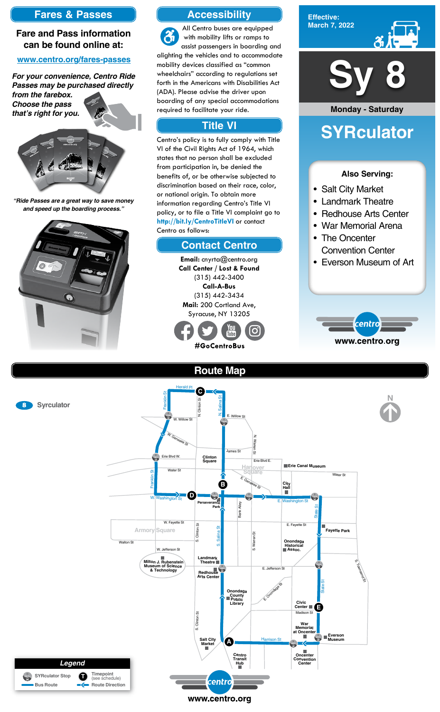### **Route Map**



### **Accessibility**

### **Contact Centro**

### **Title VI**

All Centro buses are equipped  $\mathfrak{F}$ with mobility lifts or ramps to assist passengers in boarding and alighting the vehicles and to accommodate mobility devices classified as "common wheelchairs" according to regulations set forth in the Americans with Disabilities Act (ADA). Please advise the driver upon boarding of any special accommodations required to facilitate your ride.

Centro's policy is to fully comply with Title VI of the Civil Rights Act of 1964, which states that no person shall be excluded from participation in, be denied the benefits of, or be otherwise subjected to discrimination based on their race, color, or national origin. To obtain more information regarding Centro's Title VI policy, or to file a Title VI complaint go to **http://bit.ly/CentroTitleVI** or contact Centro as follows:

> **Email:** cnyrta@centro.org **Call Center / Lost & Found** (315) 442-3400 **Call-A-Bus** (315) 442-3434 **Mail:** 200 Cortland Ave, Syracuse, NY 13205



### **Fares & Passes**

#### **Fare and Pass information can be found online at:**

#### **www.centro.org/fares-passes**

*"Ride Passes are a great way to save money and speed up the boarding process."*



*For your convenience, Centro Ride Passes may be purchased directly* 

*from the farebox. Choose the pass that's right for you.*











#### **Also Serving:**

- Salt City Market
- Landmark Theatre
- Redhouse Arts Center
- War Memorial Arena
- The Oncenter Convention Center
- Everson Museum of Art



# **SYRculator**

**Monday - Saturday**